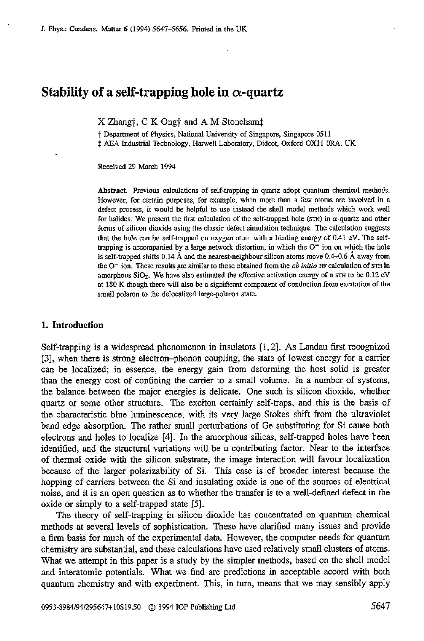# **Stability of a self-trapping hole in**  $\alpha$ **-quartz**

X Zhang†, C K Ong† and A M Stoneham<sup>†</sup>

t Depamnent of Physics, National University of Singapore, Singapore **<sup>0511</sup>**  $\dagger$  AEA Industrial Technology, Harwell Laboratory, Didcot, Oxford OX11 ORA, UK

Received 29 March 1994

Abstract. Previous calculations of self-trapping in quartz adopt quantum chemical methods. However, for certain purposes, for example, when more than a few atoms are involved in a defect process, it would **be** helpful **IO** use instead the shell model methods which work well for halides. **We** present **the** first **calculation** of the self-trapped hole **(mi)** in a-quartz and other forms of silicon dioxide using the classic defect simulation technique. The calculation suggests that the hole *can* be self-trapped **on** oxygen atom with **a** binding energy of 0.41 eV. The selftrapping is accompanied by a large network distortion, in which the  $0^-$  ion on which the hole is self-trapped shifts 0.14 **A** and the nearest-neighbour silicon atoms move **0.4-0.6** A away from the  $O^-$  ion. These results are similar to those obtained from the *ab initio* HF calculation of STH in amorphous SiO<sub>2</sub>. We have also estimated the effective activation energy of a  $\text{STH}$  to be 0.12 eV at 180 K though there will **also** be **a** significant component of conduction from excitation of **the**  small polaron to the delocalized large-polaron state.

#### **1. Introduction**

Self-trapping is a widespread phenomenon in insulators [1,2]. As Landau first recognized [3], when there is strong electron-phonon coupling, the state of lowest energy for a carrier can be localized; in essence, the energy gain from deforming the host solid is greater than the energy cost of confining the canier to a small volume. In a number of systems, the balance between the major energies is delicate. One such is silicon dioxide, whether quartz or some other structure. The exciton certainly self-traps. and this is the basis of the characteristic blue luminescence, with its very large Stokes shift from the ultraviolet band edge absorption. The rather small perturbations of Ge substituting for Si cause both electrons and holes to localize [4]. In the amorphous silicas, self-trapped holes have been identified, and the structural variations will be a contributing factor. Near to the interface of thermal oxide with the silicon substrate, the image interaction will favour localization because of the larger polarizability of Si. This case is of broader interest because the hopping of carriers between the Si and insulating oxide is one of the sources of electrical noise, and it is an open question **as** to whether the transfer is to a well-defined defect in the oxide or simply to a self-trapped state **[SI.** 

The theory of self-trapping in silicon dioxide has concentrated on quantum chemical methods at several levels of sophistication. These have clarified many issues and provide a **firm** basis for much **of** the experimental data. However, the computer needs for quantum chemistry are substantial, and these calculations have used relatively small clusters of atoms. What we attempt in this paper is a study by the simpler methods, based on the shell model and interatomic potentials. What we find are predictions in acceptable accord with both quantum chemistry and with experiment. This, in turn, means that we may sensibly apply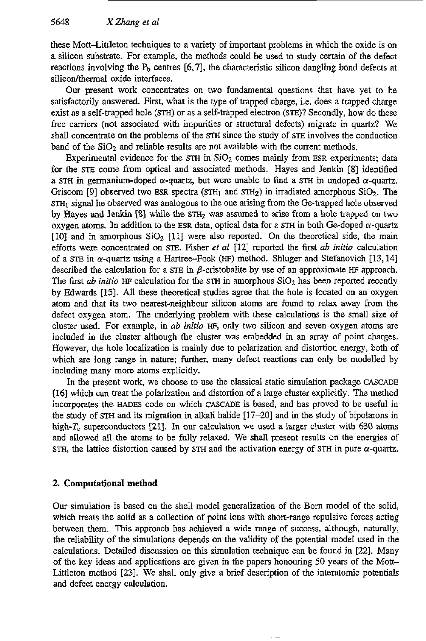these Matt-Littleton techniques to a variety of important problems in which the oxide is on a silicon substrate. For example, the methods could be used to study certain of the defect reactions involving the  $P_b$  centres  $[6,7]$ , the characteristic silicon dangling bond defects at silicon/thermal oxide interfaces.

Our present work concentrates on two fundamental questions that have yet to be satisfactorily answered. First, what is the type of trapped charge, i.e. does a trapped charge exist as a self-trapped hole **(STH)** or as a self-trapped electron **(SE)?** Secondly, how do these free carriers (not associated with impurities or structural defects) migrate in quartz? We shall concentrate on the problems of the **STH** since the study of **STE** involves the conduction band of the  $SiO<sub>2</sub>$  and reliable results are not available with the current methods.

Experimental evidence for the  $STH$  in  $SiO<sub>2</sub>$  comes mainly from ESR experiments; data for the **STE** come from optical and associated methods. Hayes and Jenkin **181** identified a STH in germanium-doped  $\alpha$ -quartz, but were unable to find a STH in undoped  $\alpha$ -quartz. Griscom <sup>[9]</sup> observed two ESR spectra (STH<sub>1</sub> and STH<sub>2</sub>) in irradiated amorphous SiO<sub>2</sub>. The STH<sub>1</sub> signal he observed was analogous to the one arising from the Ge-trapped hole observed by Hayes and Jenkin [8] while the STH<sub>2</sub> was assumed to arise from a hole trapped on two oxygen atoms. In addition to the ESR data, optical data for a STH in both Ge-doped  $\alpha$ -quartz **[IO]** and in amorphous Si02 **[ll]** were also reported. **On** the theoretical side, the main efforts were concentrated on **STE.** Fisher **et** *al* **1121** reported the first *ab initio* calculation of a STE in  $\alpha$ -quartz using a Hartree-Fock (HF) method. Shluger and Stefanovich [13, 14] described the calculation for a STE in  $\beta$ -cristobalite by use of an approximate HF approach. The first *ab initio* HF calculation for the **sTH** in amorphous Si02 has been reported recently by Edwards **1151.** All these theoretical studies agree that the hole is located on an oxygen atom and that its two nearest-neighbour silicon atoms are found to relax away from tbe defect oxygen atom. The underlying problem with these calculations is the small size of cluster used. For example, in *ab initio* **WF,** only two silicon and seven oxygen atoms are included in the cluster although the cluster was embedded in an array **of** point charges. However, the hole localization is mainly due to polarization and distortion energy, both of which are long range in nature; further, many defect reactions can only be modelled by including many more atoms explicitly.

In the present work, we choose to use the classical static simulation package **CASCADE 1161** which can treat the polarization and distortion of a large cluster explicitly. The method incorporates the **HADES** code on which **CASCADE** is based, and has proved to be useful in the study of **STH** and its migration in alkali halide **[17-201** and in the study of bipolarons in high-T, superconductors [21]. In our calculation we used a larger cluster with **630** atoms and allowed all the atoms to be fully relaxed. We shall present results on the energies of **STH, the lattice distortion caused by STH and the activation energy of STH in pure**  $\alpha$ **-quartz.** 

## **2. Computational method**

**Our** simulation is based on the shell model generalization of the Born model of the solid, which treats the solid as a collection of point ions with short-range repulsive forces acting between them. This approach has achieved a wide range of success, although, naturally, the reliability of the simulations depends on the validity of the potential model used in the calculations. Detailed discussion on this simulation technique can be found in **[22].** Many of the key ideas and applications are given in the papers honouring 50 years of the Mott-Littleton method **[23].** We shall only give a brief description of the interatomic potentials and defect energy calculation.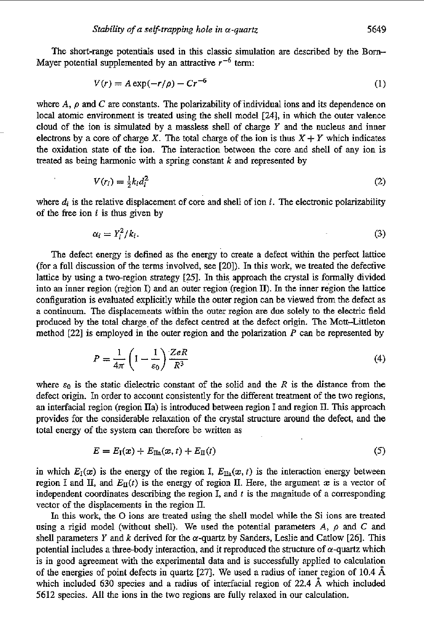The short-range potentials used in this classic simulation are described by the Bom-Mayer potential supplemented by an attractive  $r^{-6}$  term:

$$
V(r) = A \exp(-r/\rho) - Cr^{-6}
$$
 (1)

where  $A$ ,  $\rho$  and  $C$  are constants. The polarizability of individual ions and its dependence on local atomic environment is treated using the shell model **[24],** in which the outer valence cloud of the ion is simulated by a massless shell of charge *Y* and the nucleus and inner electrons by a core of charge X. The total charge of the ion is thus  $X + Y$  which indicates the oxidation state of the ion. The interaction between the core and shell of any ion **is**  treated **as** being harmonic with a spring constant *k* and represented by

$$
V(r_i) = \frac{1}{2}k_i d_i^2 \tag{2}
$$

where  $d_i$  is the relative displacement of core and shell of ion  $i$ . The electronic polarizability of the **free** ion *i* is thus given by

$$
\alpha_i = Y_i^2 / k_i. \tag{3}
$$

The defect energy is defined **as** the energy **to** create a defect within the perfect lattice (for a full discussion of the terms involved, see [20]). **In** this work, we treated the defecfive lattice by using a two-region strategy **[?I. In** this, approach the crystal is formally divided into an inner region (region I) and an outer region (region **U).** In the inner region the lattice configuration is evaluated explicitly while the outer region can be viewed from the defect as a continuum. The displacements within the outer region are due solely to the electric field produced by the total charge. of the defect centred at the defect origin. The Mott-Littleton method *[22]* **is** employed in the outer region and the polarization *P* can be represented by The displacements within the outer region are due solely to the electric field<br>as total charge of the defect centred at the defect origin. The Mott-Littleton<br>employed in the outer region and the polarization P can be repr

$$
P = \frac{1}{4\pi} \left( 1 - \frac{1}{\varepsilon_0} \right) \frac{ZeR}{R^3}
$$
 (4)

where  $\varepsilon_0$  is the static dielectric constant of the solid and the R is the distance from the defect origin. In order to account consistently for the different treatment of the two regions, **an** interfacial region (region na) is introduced between region I and region **II.** This approach provides for the considerable relaxation of the **crystal** structure around the defect, and the total energy of the system can therefore be written as

$$
E = E_{\rm I}(x) + E_{\rm IIA}(x, t) + E_{\rm II}(t) \tag{5}
$$

in which  $E_i(x)$  is the energy of the region I,  $E_{\text{Ia}}(x, t)$  is the interaction energy between region I and II, and  $E_{II}(t)$  is the energy of region II. Here, the argument x is a vector of independent coordinates describing the region I, and *t* **is** the magnitude of a corresponding vector of the displacements in the region 11.

In this work, the O ions are treated using the shell model while the Si ions are treated using a rigid model (without shell). We used the potential parameters  $A$ ,  $\rho$  and  $C$  and shell parameters *Y* and *k* derived for the  $\alpha$ -quartz by Sanders, Leslie and Catlow [26]. This potential includes a three-body interaction, and it reproduced the structure of  $\alpha$ -quartz which is in good agreement with the experimental data and is successfully applied to calculation of the energies of point defects in quartz **1271.** We used a radius of inner region **of 10.4 A**  which included **630** species and a radius of interfacial region of **22.4** A which included **5612** species. All the ions in the two regions are **fully** relaxed in our calculation.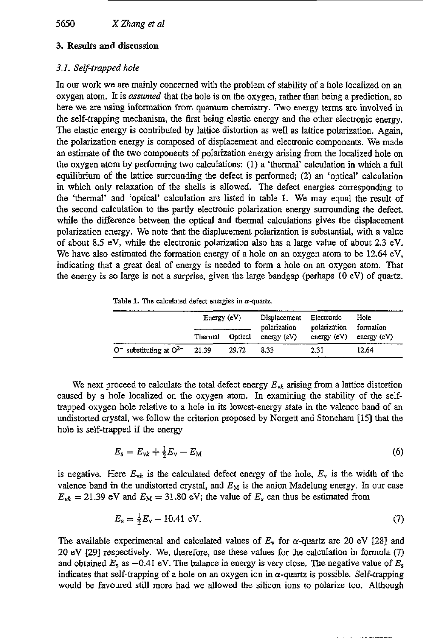## **3. Results and discussion**

### *3.i. Self-trapped hole*

In our work we are mainly concerned with the problem of stability of a hole localized on an oxygen atom. It is *assumed* that the hole is on the oxygen, rather than being a prediction, so here we are using information from quantum chemistry. Two energy terms are involved in the self-trapping mechanism, the first being elastic energy and the other electronic energy. The elastic energy is contributed by lattice distortion **as** well **as** lattice polarization. Again, the polarization energy is composed of displacement and electronic components. We made an estimate of the two components of polarization energy arising from the localized hole on the oxygen atom by performing two calculations: (1) a 'thermal' calculation in which a full equilibrium of the lattice surrounding the defect is performed; **(2)** an 'optical' calculation in which only relaxation of the shells is allowed. The defect energies corresponding to the 'thermal' and 'optical' calculation are listed in table 1. We may equal the result of the second calculation to the partly electronic polarization energy surrounding the defect, while the difference between the optical and thermal calculations gives the displacement polarization energy. We note that the displacement polarization is substantial, with a value of about 8.5 eV, while the electronic polarization also has a large value of about 2.3 eV. We have also estimated the formation energy of a hole on an oxygen atom to be 12.64 eV, indicating that a great deal of energy is needed to form a hole on an oxygen atom. That the energy is so large is not a surprise, given the large bandgap (perhaps 10 eV) of quartz.

|  |  | Table 1. The calculated defect energies in $\alpha$ -quartz. |  |  |  |  |
|--|--|--------------------------------------------------------------|--|--|--|--|
|--|--|--------------------------------------------------------------|--|--|--|--|

|                                         |         | Energy $(eV)$<br>Electronic<br>Displacement<br>polarization<br>polarization |            | Hole<br>formation |               |
|-----------------------------------------|---------|-----------------------------------------------------------------------------|------------|-------------------|---------------|
|                                         | Thermal | Optical                                                                     | energy(eV) | energy $(eV)$     | energy $(eV)$ |
| O <sup>-</sup> substituting at $O^{2-}$ | 21.39   | 29.72                                                                       | 8.33       | 2.31              | 12.64         |

We next proceed to calculate the total defect energy  $E_{\nu k}$  arising from a lattice distortion caused by a hole localized on the oxygen atom. In examining the stability of the selftrapped oxygen hole relative to a hole in its lowest-energy state in the valence band of an undistorted crystal, we follow the criterion proposed by Norgett and Stoneham **[15]** that the hole is self-trapped if the energy

$$
E_{s} = E_{\rm vk} + \frac{1}{2}E_{\rm v} - E_{\rm M}
$$
 (6)

is negative. Here  $E_{vk}$  is the calculated defect energy of the hole,  $E_v$  is the width of the valence band in the undistorted crystal, and *EM* is the anion Madelung energy. In our case  $E_{\nu k} = 21.39$  eV and  $E_M = 31.80$  eV; the value of  $E_s$  can thus be estimated from

$$
E_s = \frac{1}{2}E_v - 10.41 \text{ eV}.
$$
 (7)

The available experimental and calculated values of  $E_y$  for  $\alpha$ -quartz are 20 eV [28] and 20 eV [29] respectively. We, therefore, use these values for the calculation in formula (7) and obtained  $E_s$  as  $-0.41$  eV. The balance in energy is very close. The negative value of  $E_s$ indicates that self-trapping of a hole on an oxygen ion in  $\alpha$ -quartz is possible. Self-trapping would be favoured still more had we allowed the silicon ions to polarize too. Although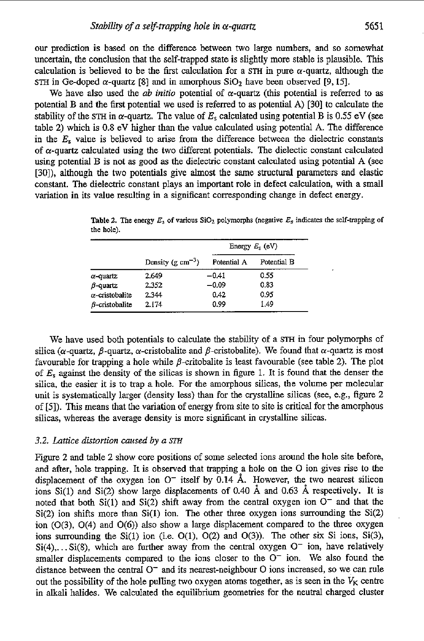our prediction is based on the difference between two large numbers, and so somewhat uncertain, the conclusion that the self-trapped state is slightly more stable is plausible. This calculation is believed to be the first calculation for a STH in pure  $\alpha$ -quartz, although the STH in Ge-doped  $\alpha$ -quartz [8] and in amorphous  $SiO_2$  have been observed [9, 15].

We have also used the *ab initio* potential of  $\alpha$ -quartz (this potential is referred to as potential **B** and the first potential we used is referred to **as** potential **A)** [30] to calculate the stability of the STH in  $\alpha$ -quartz. The value of  $E_s$  calculated using potential B is 0.55 eV (see table 2) which is 0.8 eV higher than the value calculated using potential **A.** The difference in the *E.* value is believed to arise from the difference between the dielectric constants of  $\alpha$ -quartz calculated using the two different potentials. The dielectic constant calculated using potential B is not **as** good as the dielectric constant calculated using potential **A** (see **[30]),** although the two potentials give almost the same structural parameters and elastic constant. The dielectric constant plays an important role in defect calculation, with a small variation in its value resulting in a significant corresponding change in defect energy.

|                        |                                 | Energy $E_s$ (eV) |             |  |
|------------------------|---------------------------------|-------------------|-------------|--|
|                        | Density ( $g \text{ cm}^{-3}$ ) | Potential A       | Potential B |  |
| α-quartz               | 2.649                           | $-0.41$           | 0.55        |  |
| <i>B-</i> quartz       | 2.352                           | $-0.09$           | 0.83        |  |
| α-cristobalite         | 2.344                           | 0.42              | 0.95        |  |
| <i>B</i> -cristobalite | 2.174                           | 0.99              | 1.49        |  |

**Table 2.** The energy  $E_s$  of various  $SiO_2$  polymorphs (negative  $E_s$  indicates the self-trapping of **the hole).** 

We have used both potentials to calculate the stability of a **STH** in four polymorphs of silica ( $\alpha$ -quartz,  $\beta$ -quartz,  $\alpha$ -cristobalite and  $\beta$ -cristobalite). We found that  $\alpha$ -quartz is most favourable for trapping a hole while  $\beta$ -critobalite is least favourable (see table 2). The plot of *E,* against the density of the silicas is shown in figure 1. It is found that the denser the silica, the easier it is to trap a hole. For the amorphous silicas, the volume per molecular unit is systematically larger (density less) than for the crystalline silicas (see, e.g., figure *2*  of 151). This means that the variation of energy from site to site is critical for the amorphous silicas, whereas the average density is more significant in crystalline silicas.

#### *3.2. Lattice distortion caused by a STH*

Figure 2 and table 2 show core positions of some selected ions around the hole site before, and after, hole trapping. It is observed that trapping a hole on the O ion gives rise to the displacement of the oxygen ion  $O^-$  itself by 0.14 Å. However, the two nearest silicon ions Si(1) and Si(2) show large displacements of 0.40 **A** and 0.63 **A** respectively. It is noted that both  $Si(1)$  and  $Si(2)$  shift away from the central oxygen ion  $O^-$  and that the  $Si(2)$  ion shifts more than  $Si(1)$  ion. The other three oxygen ions surrounding the  $Si(2)$ ion **(0(3),** O(4) and **O(6))** also show a large displacement compared to the three oxygen ions surrounding the  $Si(1)$  ion (i.e.  $O(1)$ ,  $O(2)$  and  $O(3)$ ). The other six Si ions,  $Si(3)$ ,  $Si(4), \ldots Si(8)$ , which are further away from the central oxygen  $O^-$  ion, have relatively smaller displacements compared to the ions closer to the *0-* ion. We also found the distance between the central  $O^-$  and its nearest-neighbour O ions increased, so we can rule out the possibility of the hole pulling two oxygen atoms together, as is seen in the  $V_K$  centre in alkali halides. We calculated the equilibrium geometries for the neutral charged cluster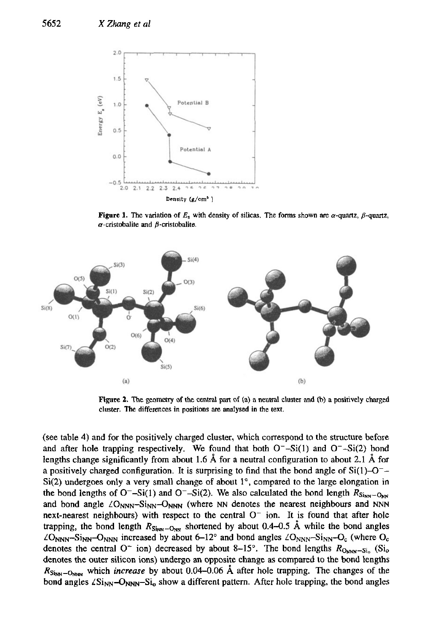

**Figure 1.** The variation of  $E<sub>s</sub>$  with density of silicas. The forms shown are  $\alpha$ -quartz,  $\beta$ -quartz, **a-crirtobalite and p-cristobalite.** 



**Figure 2.** The geometry of the central part of  $(a)$  a neutral cluster and  $(b)$  a positively charged **duster. The differences in positions are analysed in the text.** 

(see table **4)** and for the positively charged cluster, which correspond to the structure before and after hole trapping respectively. We found that both  $O^-$ -Si(1) and  $O^-$ -Si(2) bond lengths change significantly from about 1.6 Å for a neutral configuration to about 2.1 Å for a positively charged configuration. It is surprising to find that the bond angle of  $Si(1)-O^ Si(2)$  undergoes only a very small change of about  $1^\circ$ , compared to the large elongation in the bond lengths of  $O^-$ -Si(1) and  $O^-$ -Si(2). We also calculated the bond length  $R_{\text{Si}_{NN}}$ -O<sub>NN</sub> and bond angle  $\angle$ O<sub>NNN</sub>-Si<sub>NN</sub>-O<sub>NNN</sub> (where NN denotes the nearest neighbours and NNN next-nearest neighbours) with respect to the central  $O^-$  ion. It is found that after hole trapping, the bond length  $R_{\text{Sinv}-\text{ONN}}$  shortened by about 0.4-0.5 Å while the bond angles  $\angle$ O<sub>NNN</sub>-Si<sub>NN</sub>-O<sub>NNN</sub> increased by about 6-12° and bond angles  $\angle$ O<sub>NNN</sub>-Si<sub>NN</sub>-O<sub>c</sub> (where O<sub>c</sub>) denotes the central  $O^{\sim}$  ion) decreased by about 8-15°. The bond lengths  $R_{\text{Omm-Si}_0}$  (Si<sub>o</sub> denotes the outer silicon ions) undergo **an** opposite change as compared to the bond lengths  $R_{\text{Si}_{NN}-\text{O}_{\text{NN}}}$  which *increase* by about 0.04-0.06 Å after hole trapping. The changes of the bond angles  $\angle \text{Si}_{NN}$ - $\text{O}_{NNN}$ -Si<sub>o</sub> show a different pattern. After hole trapping, the bond angles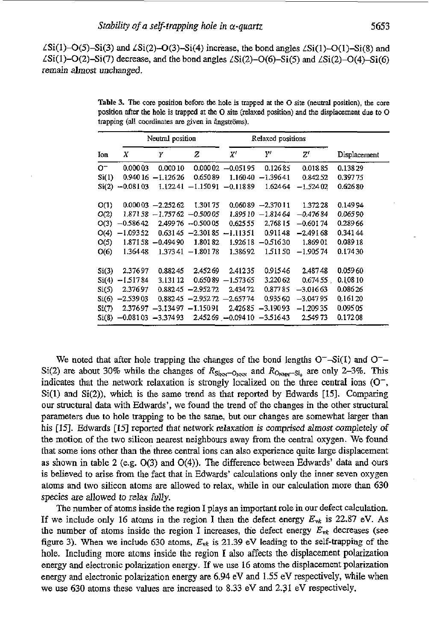$\angle$ Si(1)-O(5)-Si(3) and  $\angle$ Si(2)-O(3)-Si(4) increase, the bond angles  $\angle$ Si(1)-O(1)-Si(8) and  $\angle$ Si(1)-O(2)-Si(7) decrease, and the bond angles  $\angle$ Si(2)-O(6)-Si(5) and  $\angle$ Si(2)-O(4)-Si(6) remain almost unchanged.

|          |            | Neutral position              |                     |                      | Relaxed positions |                      |              |
|----------|------------|-------------------------------|---------------------|----------------------|-------------------|----------------------|--------------|
| Ion      | Χ          | Υ                             | z                   | X'                   | Υʻ                | $\operatorname{Z}^t$ | Displacement |
| 0-       | 0.00003    | 0.00010                       |                     | $0.00002 -0.05195$   | 0.12685           | 0.01885              | 0.13829      |
| Si(1)    | 0.94016    | $-1.12626$                    | 0.65089             | 1.16040              | $-1.39641$        | 0.84252              | 0.39775      |
| Si(2)    | $-0.08103$ | 1.12241                       |                     | $-1.15091 - 0.11889$ | 1.624.64          | $-1.52402$           | 0.62680      |
| O(1)     |            | $0.00003 - 2.25262$           | 1.30175             | 0.06089              | $-2.37011$        | 1.37228              | 0.14994      |
| O(2)     |            | $1.87158 - 1.75762 - 0.50005$ |                     | 1.89510              | $-1.81464$        | $-0.47684$           | 0.06590      |
| O(3)     | $-0.58642$ |                               | 2.499 76 - 0.500 05 | 0.62555              | 2.768.15          | $-0.60174$           | 0.28966      |
| O(4)     | $-1.09352$ |                               | $0.63145 - 2.30185$ | $-1.11351$           | 0.91148           | $-2.49168$           | 0.34144      |
| O(5)     | 1.87158    | $-0.49490$                    | 1.80182             | 1.92618              | $-0.51630$        | 1.86901              | 0.08918      |
| O(6)     | 1.36448    | 1.37341                       | $-1.80178$          | 1.38692              | 1.51150           | $-1.90574$           | 0.17430      |
| Si(3)    | 2.37697    | 0.88245                       | 2.45269             | 2.41235              | 0.91546           | 2.48748              | 0.05960      |
| Si(4)    | $-1.51784$ | 3.131 12                      | 0.65089             | $-1.57365$           | 3.22062           | 0.674.55             | 0.10810      |
| Si(5)    | 2.37697    | 0.88245                       | $-2.95272$          | 2.43472              | 0.87785           | -3.01663             | 0.08626      |
| $S_1(6)$ | $-2.53903$ | 0.88245                       | $-2.95272$          | $-2.65774$           | 0.935 60          | $-3.04795$           | 0.16120      |
| Si(7)    | 2.37697    | $-3.13497$                    | $-1.15091$          | 2.42685              | $-3.19093$        | $-1.20935$           | 0.09505      |
| Si(8)    | $-0.08103$ | $-3.37493$                    |                     | $2.45269 - 0.09410$  | $-3.51643$        | 2.54973              | 0.17208      |

**Table 3. The core position before the hole** is **trapped as the 0 site (neubal** position), **the core position** after **the** hole **is trapped** at *the* **0 site (relaxed position) and the displacement due to 0 trapping** (all coordinates are given in angströms).

We noted that after hole trapping the changes of the bond lengths  $O^-$ -Si(1) and  $O^-$ -Si(2) are about 30% while the changes of  $R_{\text{Sinv}}-O_{\text{NNN}}$  and  $R_{\text{ONNN}}-S_{i_0}$  are only 2-3%. This indicates that the network relaxation is strongly localized **on** the three central ions *(0-,*  Si(1) and Si(2)). which is the same trend as that reported by Edwards **[15].** Comparing our structural data with Edwards', we found the trend of the changes in the other structural parameters due to hole trapping to be the same, but our changes are somewhat larger than his [15]. Edwards [15] reported that network elaxation is comprised *almost* completely *of*  the motion of the two silicon nearest neighbours away from the central oxygen. We found that some ions other than the **three** central ions can also experience quite large displacement as shown in table 2 (e.g. O(3) and O(4)). The difference between Edwards' data and ours is believed to arise from the fact that in Edwards' calculations only the inner seven oxygen atoms and two silicon atoms are allowed to relax, while in our calculation more than **630**  species are allowed to relax fully.

The number of atoms inside the region I plays an important role in our defect calculation. If we include only 16 atoms in the region I then the defect energy  $E_{\rm vk}$  is 22.87 eV. As the number of atoms inside the region I increases, the defect energy  $E_{vk}$  decreases (see figure 3). When we include 630 atoms,  $E_{vk}$  is 21.39 eV leading to the self-trapping of the hole. Including more atoms inside the region **I** also affects the displacement polarization energy and electronic polarization energy. If we use 16 atoms the displacement polarization energy **and** electronic polarization energy are 6.94 eV and 1.55 eV respectively, while when we use 630 atoms these values are increased to 8.33 eV and **2.31** eV respectively.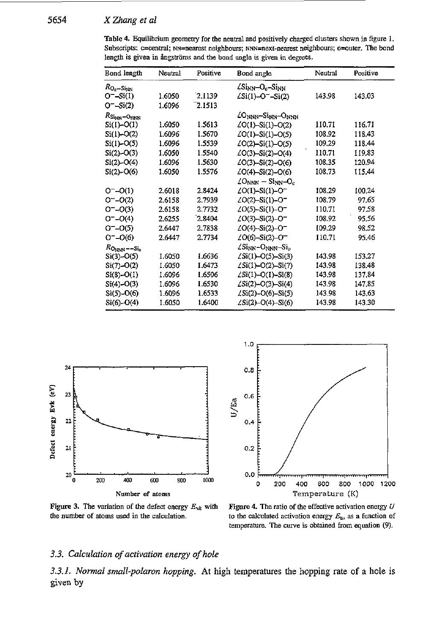| Bond length                         | Neutral | Positive | Bond angle                                                                          | Neutral | Positive |  |  |
|-------------------------------------|---------|----------|-------------------------------------------------------------------------------------|---------|----------|--|--|
| $R_{\rm O_c-Si_{NN}}$               |         |          | 2Sinn-Oc-Sinn                                                                       |         |          |  |  |
| $O^- - Si(1)$                       | 1.6050  | 2.1139   | $\angle$ Si(1)-O <sup>-</sup> -Si(2)                                                | 143.98  | 143.03   |  |  |
| $O^- - Si(2)$                       | 1.6096  | 2.1513   |                                                                                     |         |          |  |  |
| $R_{\rm Si_{NN}}$ – Onnn            |         |          | 20 <sub>nnn</sub> -Si <sub>nn</sub> -O <sub>nnn</sub>                               |         |          |  |  |
| $Si(I) - O(1)$                      | 1.6050  | 1.5613   | ZO(1)-Si(1)-O(2)                                                                    | 110.71  | 116.71   |  |  |
| $Si(1) - O(2)$                      | 1.6096  | 1.5670   | $\angle$ O(1)-Si(1)-O(5)                                                            | 108.92  | 118,43   |  |  |
| $Si(1) - O(5)$                      | 1.6096  | 1.5539   | ZO(2)-Si(1)-O(5)                                                                    | 109.29  | 118.44   |  |  |
| $Si(2)$ $O(3)$                      | 1.6050  | 1.5540   | ZO(3)-Si(2)-O(4)                                                                    | 110.71  | 119.83   |  |  |
| $Si(2)$ $O(4)$                      | 1 6096  | 1.5630   | 40(3)-Si(2)-O(6)                                                                    | 108.35  | 120.94   |  |  |
| $Si(2) - O(6)$                      | 1.6050  | 1.5576   | ZO(4)—Si(2)—O(6)                                                                    | 108.73  | 115.44   |  |  |
|                                     |         |          | $\angle \textsf{O}_{\textsf{NNN}} - \textsf{Si}_{\textsf{NN}}\text{--}\textsf{O}_c$ |         |          |  |  |
| $O^{-} - O(1)$                      | 2.6018  | 2.8424   | $\angle$ O(1)–Si(1)–O <sup>-</sup>                                                  | 108.29  | 100.24   |  |  |
| $O^- - O(2)$                        | 2.6158  | 2.7939   | ZO(2)-Si(1)-O <sup>-</sup>                                                          | 108.79  | 97.65    |  |  |
| $O^- - O(3)$                        | 2.6158  | 2.7732   | $\angle$ O(5)–Si(1)–O <sup>–</sup>                                                  | 110.71  | 97.58    |  |  |
| $O^- - O(4)$                        | 2.6255  | 2.8404   | $\angle$ O(3)-Si(2)-O <sup>-</sup>                                                  | 108.92  | 95.56    |  |  |
| $O^- - O(5)$                        | 2.6447  | 2.7838   | $\angle$ O(4)-Si(2)-O <sup>-</sup>                                                  | 109.29  | 98,52    |  |  |
| $O^-$ – $O(6)$                      | 2.6447  | 2.7734   | $\angle$ O(6)-Si(2)-O <sup>-</sup>                                                  | 110.71  | 95.46    |  |  |
| $R_{\text{ONNN}}$ --Si <sub>g</sub> |         |          | ZSinn-Onnn-Si <sub>d</sub>                                                          |         |          |  |  |
| $Si(3) - O(5)$                      | 1 6050  | 1.6636   | $\angle$ Si(1)-O(5)-Si(3)                                                           | 143.98  | 153.27   |  |  |
| $Si(7) - O(2)$                      | 1.6050  | 1.6473   | $\angle$ Si(1)-O(2)-Si(7)                                                           | 143.98  | 138.48   |  |  |
| $Si(8)-O(1)$                        | 1.6096  | 1.6506   | $\angle$ Si(1)-O(1)-Si(8)                                                           | 143.98  | 137.84   |  |  |
| $Si(4) - O(3)$                      | 1.6096  | 1.6530   | $\angle$ Si(2)–O(3)–Si(4)                                                           | 143.98  | 147.85   |  |  |
| $Si(5) - O(6)$                      | 1.6096  | 1.6533   | $\angle$ Si(2)-O(6)-Si(5)                                                           | 143.98  | 143.63   |  |  |
| $Si(6) - O(4)$                      | 1.6050  | 1.6400   | $\angle$ Si(2)-O(4)-Si(6)                                                           | 143.98  | 143.30   |  |  |

Table **4.** Equilibrium geometry for the **neuual** and positively charged clusters shown in **figure** 1. Subscripts: c=central; NN=nearest neighbours; NNN=next-nearest neighbours; o=outer. The bond length is given in *ångströms and the bond angle is given in degrees.* 



Figure 3. The variation of *the* defect energy *Evk* with the number *of* **atoms used** in the calculation.



Figure **4.** The ratio of the effective activation energy *U*  to the calculated activation energy  $E_a$ , as a function of temperature. The curve is obtained from equation (9).

#### **3.3.** *Calculation of activation energy of hole*

*3.3.1. Normal small-polaron hopping.* **At** high temperatures **the** hopping rate of a hole *is*  **given by**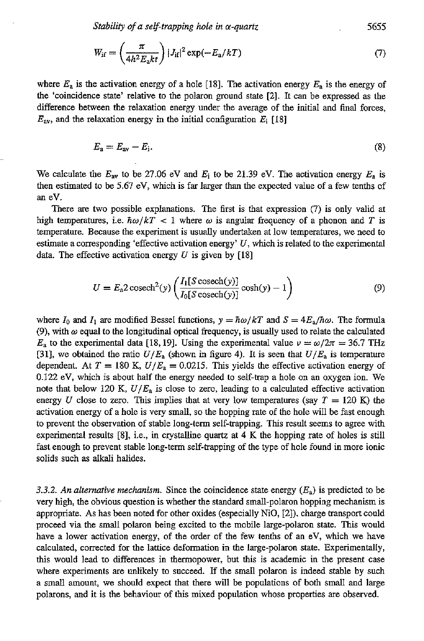*Stabiiig of a self-trapping hole in a-quartz 5655* 

$$
W_{\rm if} = \left(\frac{\pi}{4h^2 E_a kt}\right) |J_{\rm if}|^2 \exp(-E_a/kT) \tag{7}
$$

where  $E_a$  is the activation energy of a hole [18]. The activation energy  $E_a$  is the energy of the 'coincidence state' relative to the polaron ground state [2]. It can be expressed as the difference between the relaxation energy under the average of the initial and final forces,  $E_{\text{av}}$ , and the relaxation energy in the initial configuration  $E_i$  [18]

$$
E_{\rm a}=E_{\rm av}-E_{\rm i}.\tag{8}
$$

We calculate the  $E_{av}$  to be 27.06 eV and  $E_i$  to be 21.39 eV. The activation energy  $E_a$  is then estimated to be 5.67 eV, which is far larger than the expected value of a few tenths of an eV.

There are two possible explanations. The first is that expression (7) is only valid at high temperatures, i.e.  $\hbar \omega / kT < 1$  where  $\omega$  is angular frequency of a phonon and T is temperature. Because the experiment is usually undertaken at low temperatures, we need to estimate a corresponding 'effective activation energy' *U,* which is related to the experimental data. The effective activation energy  $U$  is given by [18]

$$
U = E_a 2 \operatorname{cosech}^2(y) \left( \frac{I_1[S \operatorname{cosech}(y)]}{I_0[S \operatorname{cosech}(y)]} \operatorname{cosh}(y) - 1 \right)
$$
(9)

where  $I_0$  and  $I_1$  are modified Bessel functions,  $y = \hbar \omega / kT$  and  $S = 4E_a/\hbar \omega$ . The formula (9), with  $\omega$  equal to the longitudinal optical frequency, is usually used to relate the calculated  $E_a$  to the experimental data [18, 19]. Using the experimental value  $\nu = \omega/2\pi = 36.7$  THz [31], we obtained the ratio  $U/E_a$  (shown in figure 4). It is seen that  $U/E_a$  is temperature dependent. At  $T = 180$  K,  $U/E_a = 0.0215$ . This yields the effective activation energy of 0.122 eV, which is about half the energy needed to self-trap a hole on an oxygen ion. We note that below 120 K,  $U/E_a$  is close to zero, leading to a calculated effective activation energy *U* close to zero. This implies that at very low temperatures (say  $T = 120$  K) the activation energy of a hole is very small, so the hopping rate **OF** the hole will be fast enough to prevent the observation of stable long-term self-trapping. This result seems to agree with experimental results [8], i.e., in crystalline quartz at **4** K the hopping rate of holes is still fast enough to prevent stable long-term self-trapping of the type of hole found in more ionic solids such **as** alkali halides.

3.3.2. An alternative mechanism. Since the coincidence state energy  $(E_a)$  is predicted to be very high, the obvious question is whether the standard small-polaron bopping mechanism is appropriate. As has been noted for other oxides (especially NiO, 121). charge transport could proceed via the small polaron being excited to the mobile large-polaron state. This would have a lower activation energy, of the order of the few tenths of an eV, which we have calculated, corrected for the lattice deformation in the large-polaron state. Experimentally, this would lead to differences in thermopower, but this is academic in the present case where experiments are unlikely to succeed. If the **small** polaron is indeed stable by such a small amount, we should expect that there will be populations of both small and large polarons, and it is the behaviour of this mixed population whose properties are observed.